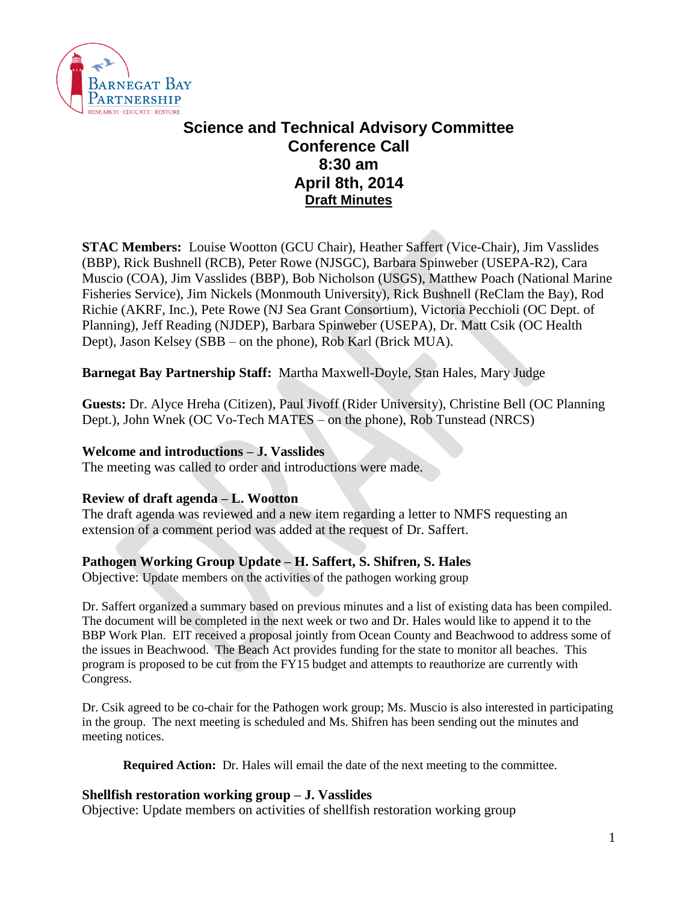

# **Science and Technical Advisory Committee Conference Call 8:30 am April 8th, 2014 Draft Minutes**

**STAC Members:** Louise Wootton (GCU Chair), Heather Saffert (Vice-Chair), Jim Vasslides (BBP), Rick Bushnell (RCB), Peter Rowe (NJSGC), Barbara Spinweber (USEPA-R2), Cara Muscio (COA), Jim Vasslides (BBP), Bob Nicholson (USGS), Matthew Poach (National Marine Fisheries Service), Jim Nickels (Monmouth University), Rick Bushnell (ReClam the Bay), Rod Richie (AKRF, Inc.), Pete Rowe (NJ Sea Grant Consortium), Victoria Pecchioli (OC Dept. of Planning), Jeff Reading (NJDEP), Barbara Spinweber (USEPA), Dr. Matt Csik (OC Health Dept), Jason Kelsey (SBB – on the phone), Rob Karl (Brick MUA).

## **Barnegat Bay Partnership Staff:** Martha Maxwell-Doyle, Stan Hales, Mary Judge

**Guests:** Dr. Alyce Hreha (Citizen), Paul Jivoff (Rider University), Christine Bell (OC Planning Dept.), John Wnek (OC Vo-Tech MATES – on the phone), Rob Tunstead (NRCS)

#### **Welcome and introductions – J. Vasslides**

The meeting was called to order and introductions were made.

#### **Review of draft agenda – L. Wootton**

The draft agenda was reviewed and a new item regarding a letter to NMFS requesting an extension of a comment period was added at the request of Dr. Saffert.

#### **Pathogen Working Group Update – H. Saffert, S. Shifren, S. Hales**

Objective: Update members on the activities of the pathogen working group

Dr. Saffert organized a summary based on previous minutes and a list of existing data has been compiled. The document will be completed in the next week or two and Dr. Hales would like to append it to the BBP Work Plan. EIT received a proposal jointly from Ocean County and Beachwood to address some of the issues in Beachwood. The Beach Act provides funding for the state to monitor all beaches. This program is proposed to be cut from the FY15 budget and attempts to reauthorize are currently with Congress.

Dr. Csik agreed to be co-chair for the Pathogen work group; Ms. Muscio is also interested in participating in the group. The next meeting is scheduled and Ms. Shifren has been sending out the minutes and meeting notices.

**Required Action:** Dr. Hales will email the date of the next meeting to the committee.

#### **Shellfish restoration working group – J. Vasslides**

Objective: Update members on activities of shellfish restoration working group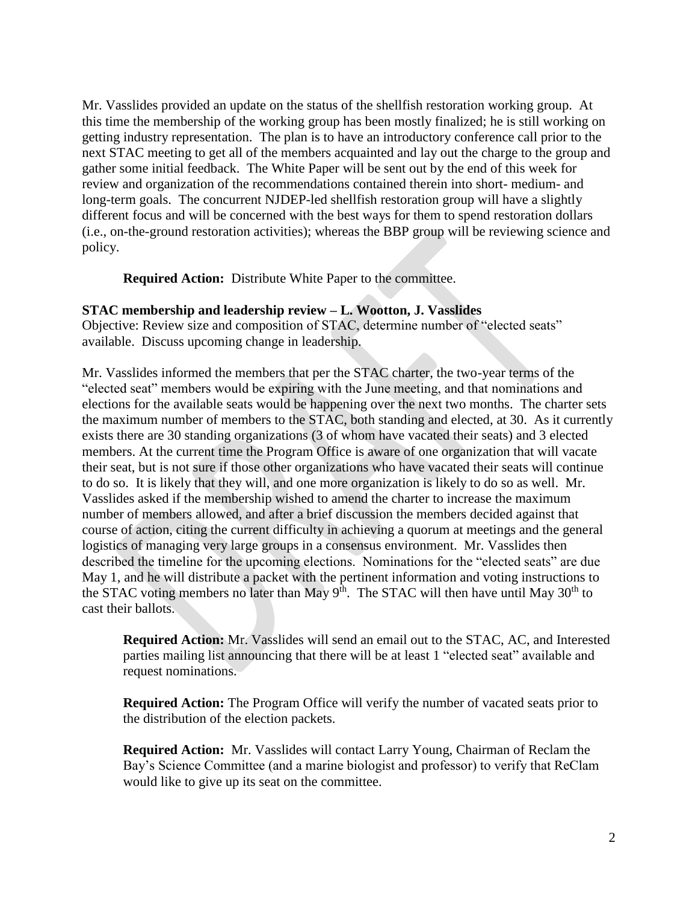Mr. Vasslides provided an update on the status of the shellfish restoration working group. At this time the membership of the working group has been mostly finalized; he is still working on getting industry representation. The plan is to have an introductory conference call prior to the next STAC meeting to get all of the members acquainted and lay out the charge to the group and gather some initial feedback. The White Paper will be sent out by the end of this week for review and organization of the recommendations contained therein into short- medium- and long-term goals. The concurrent NJDEP-led shellfish restoration group will have a slightly different focus and will be concerned with the best ways for them to spend restoration dollars (i.e., on-the-ground restoration activities); whereas the BBP group will be reviewing science and policy.

**Required Action:** Distribute White Paper to the committee.

#### **STAC membership and leadership review – L. Wootton, J. Vasslides**

Objective: Review size and composition of STAC, determine number of "elected seats" available. Discuss upcoming change in leadership.

Mr. Vasslides informed the members that per the STAC charter, the two-year terms of the "elected seat" members would be expiring with the June meeting, and that nominations and elections for the available seats would be happening over the next two months. The charter sets the maximum number of members to the STAC, both standing and elected, at 30. As it currently exists there are 30 standing organizations (3 of whom have vacated their seats) and 3 elected members. At the current time the Program Office is aware of one organization that will vacate their seat, but is not sure if those other organizations who have vacated their seats will continue to do so. It is likely that they will, and one more organization is likely to do so as well. Mr. Vasslides asked if the membership wished to amend the charter to increase the maximum number of members allowed, and after a brief discussion the members decided against that course of action, citing the current difficulty in achieving a quorum at meetings and the general logistics of managing very large groups in a consensus environment. Mr. Vasslides then described the timeline for the upcoming elections. Nominations for the "elected seats" are due May 1, and he will distribute a packet with the pertinent information and voting instructions to the STAC voting members no later than May  $9<sup>th</sup>$ . The STAC will then have until May  $30<sup>th</sup>$  to cast their ballots.

**Required Action:** Mr. Vasslides will send an email out to the STAC, AC, and Interested parties mailing list announcing that there will be at least 1 "elected seat" available and request nominations.

**Required Action:** The Program Office will verify the number of vacated seats prior to the distribution of the election packets.

**Required Action:** Mr. Vasslides will contact Larry Young, Chairman of Reclam the Bay's Science Committee (and a marine biologist and professor) to verify that ReClam would like to give up its seat on the committee.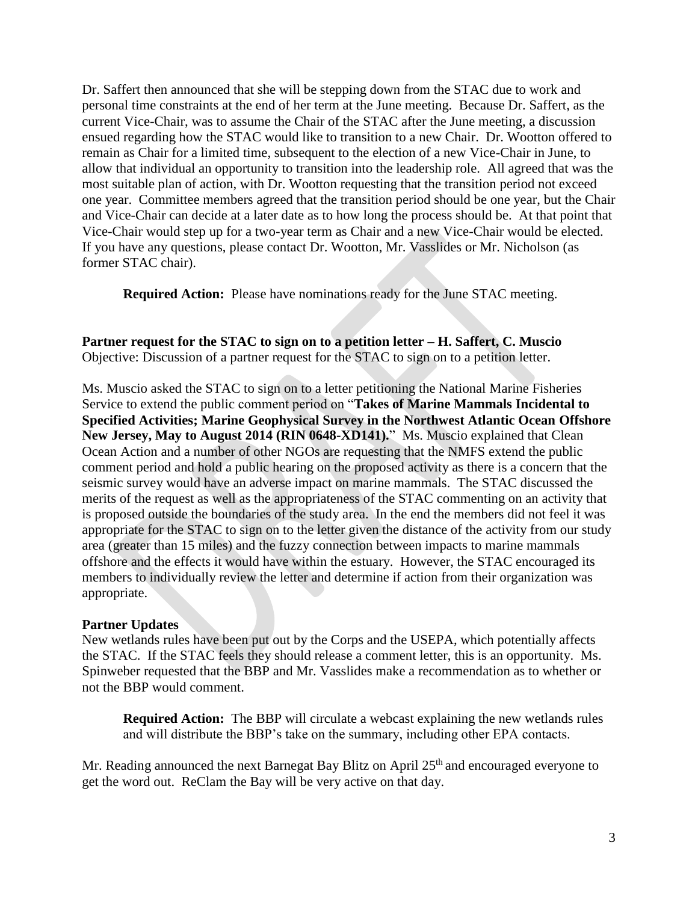Dr. Saffert then announced that she will be stepping down from the STAC due to work and personal time constraints at the end of her term at the June meeting. Because Dr. Saffert, as the current Vice-Chair, was to assume the Chair of the STAC after the June meeting, a discussion ensued regarding how the STAC would like to transition to a new Chair. Dr. Wootton offered to remain as Chair for a limited time, subsequent to the election of a new Vice-Chair in June, to allow that individual an opportunity to transition into the leadership role. All agreed that was the most suitable plan of action, with Dr. Wootton requesting that the transition period not exceed one year. Committee members agreed that the transition period should be one year, but the Chair and Vice-Chair can decide at a later date as to how long the process should be. At that point that Vice-Chair would step up for a two-year term as Chair and a new Vice-Chair would be elected. If you have any questions, please contact Dr. Wootton, Mr. Vasslides or Mr. Nicholson (as former STAC chair).

**Required Action:** Please have nominations ready for the June STAC meeting.

**Partner request for the STAC to sign on to a petition letter – H. Saffert, C. Muscio** Objective: Discussion of a partner request for the STAC to sign on to a petition letter.

Ms. Muscio asked the STAC to sign on to a letter petitioning the National Marine Fisheries Service to extend the public comment period on "**Takes of Marine Mammals Incidental to Specified Activities; Marine Geophysical Survey in the Northwest Atlantic Ocean Offshore New Jersey, May to August 2014 (RIN 0648-XD141).**" Ms. Muscio explained that Clean Ocean Action and a number of other NGOs are requesting that the NMFS extend the public comment period and hold a public hearing on the proposed activity as there is a concern that the seismic survey would have an adverse impact on marine mammals. The STAC discussed the merits of the request as well as the appropriateness of the STAC commenting on an activity that is proposed outside the boundaries of the study area. In the end the members did not feel it was appropriate for the STAC to sign on to the letter given the distance of the activity from our study area (greater than 15 miles) and the fuzzy connection between impacts to marine mammals offshore and the effects it would have within the estuary. However, the STAC encouraged its members to individually review the letter and determine if action from their organization was appropriate.

# **Partner Updates**

New wetlands rules have been put out by the Corps and the USEPA, which potentially affects the STAC. If the STAC feels they should release a comment letter, this is an opportunity. Ms. Spinweber requested that the BBP and Mr. Vasslides make a recommendation as to whether or not the BBP would comment.

**Required Action:** The BBP will circulate a webcast explaining the new wetlands rules and will distribute the BBP's take on the summary, including other EPA contacts.

Mr. Reading announced the next Barnegat Bay Blitz on April  $25<sup>th</sup>$  and encouraged everyone to get the word out. ReClam the Bay will be very active on that day.